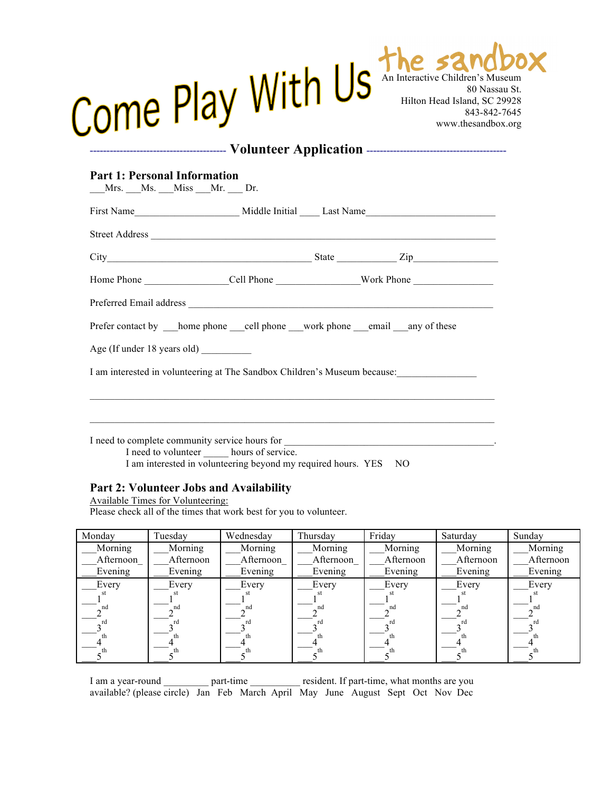| Come Play With Us            |  |  | The same both<br>80 Nassau St.<br>Hilton Head Island, SC 29928<br>843-842-7645<br>www.thesandbox.org |  |  |
|------------------------------|--|--|------------------------------------------------------------------------------------------------------|--|--|
| <b>Volunteer Application</b> |  |  |                                                                                                      |  |  |

## **Part 1: Personal Information**

| __Mrs. __Ms. __Miss __Mr. __ Dr. |                                                                           |  |
|----------------------------------|---------------------------------------------------------------------------|--|
|                                  |                                                                           |  |
|                                  |                                                                           |  |
|                                  |                                                                           |  |
|                                  |                                                                           |  |
|                                  |                                                                           |  |
|                                  | Prefer contact by home phone ell phone work phone email any of these      |  |
|                                  |                                                                           |  |
|                                  | I am interested in volunteering at The Sandbox Children's Museum because: |  |
|                                  |                                                                           |  |
|                                  |                                                                           |  |
|                                  |                                                                           |  |
|                                  | I need to volunteer hours of service.                                     |  |

I am interested in volunteering beyond my required hours. YES NO

## **Part 2: Volunteer Jobs and Availability**

Available Times for Volunteering: Please check all of the times that work best for you to volunteer.

| Monday    | Tuesday   | Wednesday | Thursday  | Friday    | Saturday  | Sunday    |
|-----------|-----------|-----------|-----------|-----------|-----------|-----------|
| Morning   | Morning   | Morning   | Morning   | Morning   | Morning   | Morning   |
| Afternoon | Afternoon | Afternoon | Afternoon | Afternoon | Afternoon | Afternoon |
| Evening   | Evening   | Evening   | Evening   | Evening   | Evening   | Evening   |
| Every     | Every     | Every     | Every     | Every     | Every     | Every     |
|           |           |           |           |           | SE.       |           |
| nd        | nd        | nd        | nd        | nd        | nd        | nd        |
| rd        | r٢        |           | rd        | rd        |           |           |
|           |           |           | th        | th        |           |           |
|           |           |           | th        | th        |           |           |

I am a year-round \_\_\_\_\_\_\_\_\_\_ part-time \_\_\_\_\_\_\_\_\_ resident. If part-time, what months are you available? (please circle) Jan Feb March April May June August Sept Oct Nov Dec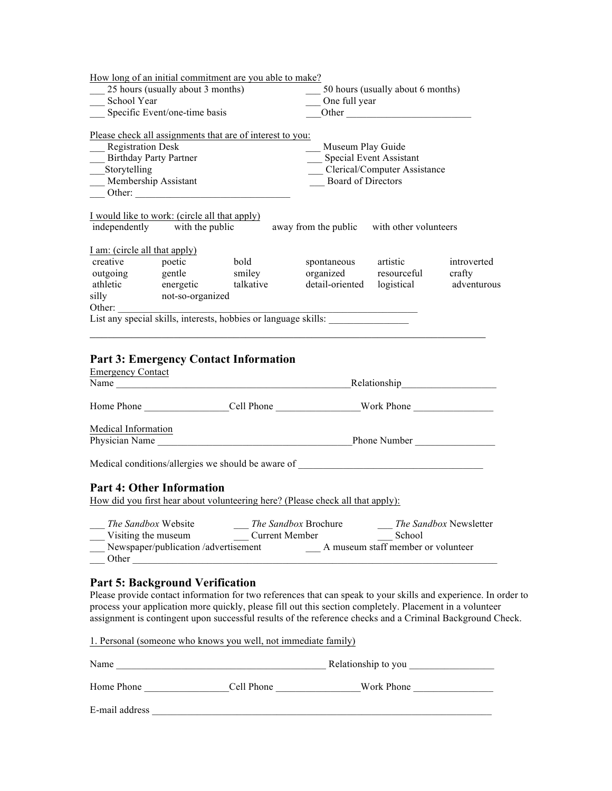|                                                                                              |                                                                                                                                                                                                                                                                                                                     | How long of an initial commitment are you able to make?   |                                                                                                                  |                                              |                        |  |
|----------------------------------------------------------------------------------------------|---------------------------------------------------------------------------------------------------------------------------------------------------------------------------------------------------------------------------------------------------------------------------------------------------------------------|-----------------------------------------------------------|------------------------------------------------------------------------------------------------------------------|----------------------------------------------|------------------------|--|
|                                                                                              | 25 hours (usually about 3 months)                                                                                                                                                                                                                                                                                   |                                                           |                                                                                                                  | 50 hours (usually about 6 months)            |                        |  |
| School Year                                                                                  |                                                                                                                                                                                                                                                                                                                     |                                                           |                                                                                                                  | One full year                                |                        |  |
| Specific Event/one-time basis                                                                |                                                                                                                                                                                                                                                                                                                     |                                                           |                                                                                                                  | Other                                        |                        |  |
| Registration Desk<br><b>Birthday Party Partner</b><br>__Storytelling<br>Membership Assistant | Other:                                                                                                                                                                                                                                                                                                              | Please check all assignments that are of interest to you: | Museum Play Guide<br>Special Event Assistant<br><b>Clerical/Computer Assistance</b><br><b>Board of Directors</b> |                                              |                        |  |
|                                                                                              | I would like to work: (circle all that apply)                                                                                                                                                                                                                                                                       |                                                           |                                                                                                                  |                                              |                        |  |
|                                                                                              | independently with the public                                                                                                                                                                                                                                                                                       |                                                           | away from the public with other volunteers                                                                       |                                              |                        |  |
| I am: (circle all that apply)                                                                |                                                                                                                                                                                                                                                                                                                     |                                                           |                                                                                                                  |                                              |                        |  |
|                                                                                              | creative poetic<br>outgoing gentle<br>athletic energetic<br>silly not-so-organized                                                                                                                                                                                                                                  | bold                                                      |                                                                                                                  | artistic                                     | introverted            |  |
|                                                                                              |                                                                                                                                                                                                                                                                                                                     | smiley                                                    | spontaneous<br>organized<br>detail-oriented                                                                      | resourceful                                  | crafty                 |  |
|                                                                                              |                                                                                                                                                                                                                                                                                                                     | talkative                                                 |                                                                                                                  | logistical                                   | adventurous            |  |
|                                                                                              |                                                                                                                                                                                                                                                                                                                     |                                                           |                                                                                                                  |                                              |                        |  |
|                                                                                              |                                                                                                                                                                                                                                                                                                                     |                                                           |                                                                                                                  |                                              |                        |  |
|                                                                                              |                                                                                                                                                                                                                                                                                                                     |                                                           |                                                                                                                  |                                              |                        |  |
| <b>Emergency Contact</b>                                                                     |                                                                                                                                                                                                                                                                                                                     | <b>Part 3: Emergency Contact Information</b>              |                                                                                                                  |                                              |                        |  |
|                                                                                              |                                                                                                                                                                                                                                                                                                                     |                                                           |                                                                                                                  |                                              |                        |  |
| <b>Medical Information</b>                                                                   |                                                                                                                                                                                                                                                                                                                     |                                                           |                                                                                                                  |                                              |                        |  |
|                                                                                              |                                                                                                                                                                                                                                                                                                                     |                                                           |                                                                                                                  |                                              |                        |  |
|                                                                                              |                                                                                                                                                                                                                                                                                                                     |                                                           | Medical conditions/allergies we should be aware of _____________________________                                 |                                              |                        |  |
|                                                                                              | <b>Part 4: Other Information</b>                                                                                                                                                                                                                                                                                    |                                                           | How did you first hear about volunteering here? (Please check all that apply):                                   |                                              |                        |  |
|                                                                                              | The Sandbox Website<br>Visiting the museum<br>Newspaper/publication /advertisement<br>Other and the contract of the contract of the contract of the contract of the contract of the contract of the contract of the contract of the contract of the contract of the contract of the contract of the contract of the | <b>Current Member</b>                                     | The Sandbox Brochure                                                                                             | School<br>A museum staff member or volunteer | The Sandbox Newsletter |  |
|                                                                                              | <b>Part 5: Background Verification</b>                                                                                                                                                                                                                                                                              |                                                           | plasse provide contact information for two references that can speak to your skills and experience. In our       |                                              |                        |  |

Please provide contact information for two references that can speak to your skills and experience. In order to process your application more quickly, please fill out this section completely. Placement in a volunteer assignment is contingent upon successful results of the reference checks and a Criminal Background Check.

|                | 1. Personal (someone who knows you well, not immediate family) |                     |  |
|----------------|----------------------------------------------------------------|---------------------|--|
| Name           |                                                                | Relationship to you |  |
| Home Phone     | Cell Phone                                                     | Work Phone          |  |
| E-mail address |                                                                |                     |  |